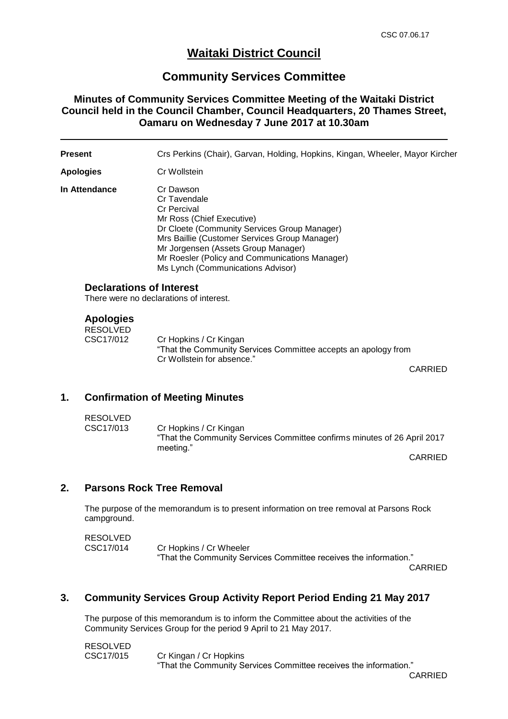# **Waitaki District Council**

# **Community Services Committee**

### **Minutes of Community Services Committee Meeting of the Waitaki District Council held in the Council Chamber, Council Headquarters, 20 Thames Street, Oamaru on Wednesday 7 June 2017 at 10.30am**

| Present          |                                                                            | Crs Perkins (Chair), Garvan, Holding, Hopkins, Kingan, Wheeler, Mayor Kircher                                                                                                                                                                                                                               |         |  |  |
|------------------|----------------------------------------------------------------------------|-------------------------------------------------------------------------------------------------------------------------------------------------------------------------------------------------------------------------------------------------------------------------------------------------------------|---------|--|--|
| <b>Apologies</b> |                                                                            | Cr Wollstein                                                                                                                                                                                                                                                                                                |         |  |  |
| In Attendance    |                                                                            | Cr Dawson<br>Cr Tavendale<br><b>Cr Percival</b><br>Mr Ross (Chief Executive)<br>Dr Cloete (Community Services Group Manager)<br>Mrs Baillie (Customer Services Group Manager)<br>Mr Jorgensen (Assets Group Manager)<br>Mr Roesler (Policy and Communications Manager)<br>Ms Lynch (Communications Advisor) |         |  |  |
|                  | <b>Declarations of Interest</b><br>There were no declarations of interest. |                                                                                                                                                                                                                                                                                                             |         |  |  |
|                  | <b>Apologies</b><br><b>RESOLVED</b><br>CSC17/012                           | Cr Hopkins / Cr Kingan<br>"That the Community Services Committee accepts an apology from<br>Cr Wollstein for absence."                                                                                                                                                                                      | CARRIED |  |  |
| 1.               |                                                                            | <b>Confirmation of Meeting Minutes</b>                                                                                                                                                                                                                                                                      |         |  |  |
|                  | <b>RESOLVED</b>                                                            |                                                                                                                                                                                                                                                                                                             |         |  |  |

| . . _ _ _ _ _ . _ <i>_</i> |                                                                          |
|----------------------------|--------------------------------------------------------------------------|
| CSC17/013                  | Cr Hopkins / Cr Kingan                                                   |
|                            | "That the Community Services Committee confirms minutes of 26 April 2017 |
|                            | meeting."                                                                |

CARRIED

## **2. Parsons Rock Tree Removal**

The purpose of the memorandum is to present information on tree removal at Parsons Rock campground.

| <b>RESOLVED</b> |                                                                   |
|-----------------|-------------------------------------------------------------------|
| CSC17/014       | Cr Hopkins / Cr Wheeler                                           |
|                 | "That the Community Services Committee receives the information." |

CARRIED

#### **3. Community Services Group Activity Report Period Ending 21 May 2017**

The purpose of this memorandum is to inform the Committee about the activities of the Community Services Group for the period 9 April to 21 May 2017.

| RESOLVED  |                                                                   |
|-----------|-------------------------------------------------------------------|
| CSC17/015 | Cr Kingan / Cr Hopkins                                            |
|           | "That the Community Services Committee receives the information." |